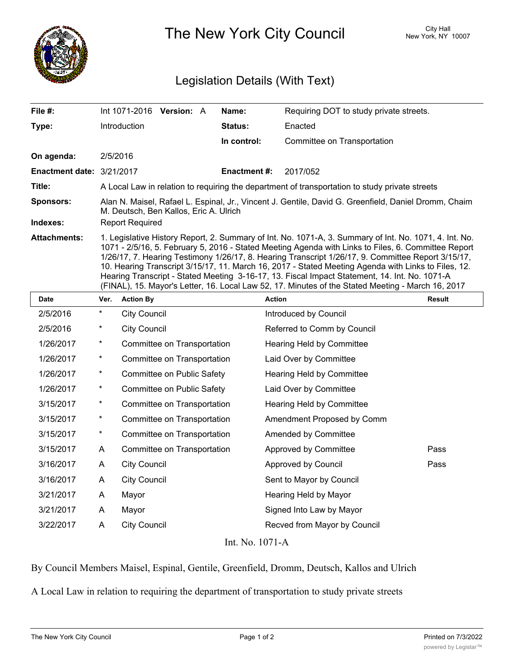

The New York City Council New York, NY 10007

## Legislation Details (With Text)

| File #:                   | Int 1071-2016 <b>Version:</b> A                                                                                                                                                                                                                                                                                                                                                                                                                                                                                                                                                                                                  |  |  | Name:          | Requiring DOT to study private streets. |  |  |
|---------------------------|----------------------------------------------------------------------------------------------------------------------------------------------------------------------------------------------------------------------------------------------------------------------------------------------------------------------------------------------------------------------------------------------------------------------------------------------------------------------------------------------------------------------------------------------------------------------------------------------------------------------------------|--|--|----------------|-----------------------------------------|--|--|
| Type:                     | <b>Introduction</b>                                                                                                                                                                                                                                                                                                                                                                                                                                                                                                                                                                                                              |  |  | <b>Status:</b> | Enacted                                 |  |  |
|                           |                                                                                                                                                                                                                                                                                                                                                                                                                                                                                                                                                                                                                                  |  |  | In control:    | Committee on Transportation             |  |  |
| On agenda:                | 2/5/2016                                                                                                                                                                                                                                                                                                                                                                                                                                                                                                                                                                                                                         |  |  |                |                                         |  |  |
| Enactment date: 3/21/2017 |                                                                                                                                                                                                                                                                                                                                                                                                                                                                                                                                                                                                                                  |  |  | Enactment #:   | 2017/052                                |  |  |
| Title:                    | A Local Law in relation to requiring the department of transportation to study private streets                                                                                                                                                                                                                                                                                                                                                                                                                                                                                                                                   |  |  |                |                                         |  |  |
| <b>Sponsors:</b>          | Alan N. Maisel, Rafael L. Espinal, Jr., Vincent J. Gentile, David G. Greenfield, Daniel Dromm, Chaim<br>M. Deutsch, Ben Kallos, Eric A. Ulrich                                                                                                                                                                                                                                                                                                                                                                                                                                                                                   |  |  |                |                                         |  |  |
| Indexes:                  | <b>Report Required</b>                                                                                                                                                                                                                                                                                                                                                                                                                                                                                                                                                                                                           |  |  |                |                                         |  |  |
| <b>Attachments:</b>       | 1. Legislative History Report, 2. Summary of Int. No. 1071-A, 3. Summary of Int. No. 1071, 4. Int. No.<br>1071 - 2/5/16, 5. February 5, 2016 - Stated Meeting Agenda with Links to Files, 6. Committee Report<br>1/26/17, 7. Hearing Testimony 1/26/17, 8. Hearing Transcript 1/26/17, 9. Committee Report 3/15/17,<br>10. Hearing Transcript 3/15/17, 11. March 16, 2017 - Stated Meeting Agenda with Links to Files, 12.<br>Hearing Transcript - Stated Meeting 3-16-17, 13. Fiscal Impact Statement, 14. Int. No. 1071-A<br>(FINAL), 15. Mayor's Letter, 16. Local Law 52, 17. Minutes of the Stated Meeting - March 16, 2017 |  |  |                |                                         |  |  |

| <b>Date</b> | Ver.     | <b>Action By</b>            | <b>Action</b>                | <b>Result</b> |
|-------------|----------|-----------------------------|------------------------------|---------------|
| 2/5/2016    | $^\star$ | <b>City Council</b>         | Introduced by Council        |               |
| 2/5/2016    | $^\star$ | <b>City Council</b>         | Referred to Comm by Council  |               |
| 1/26/2017   | $^\star$ | Committee on Transportation | Hearing Held by Committee    |               |
| 1/26/2017   | $^\star$ | Committee on Transportation | Laid Over by Committee       |               |
| 1/26/2017   | $^\star$ | Committee on Public Safety  | Hearing Held by Committee    |               |
| 1/26/2017   | $^\star$ | Committee on Public Safety  | Laid Over by Committee       |               |
| 3/15/2017   | $^\star$ | Committee on Transportation | Hearing Held by Committee    |               |
| 3/15/2017   | $^\star$ | Committee on Transportation | Amendment Proposed by Comm   |               |
| 3/15/2017   | $^\star$ | Committee on Transportation | Amended by Committee         |               |
| 3/15/2017   | A        | Committee on Transportation | Approved by Committee        | Pass          |
| 3/16/2017   | A        | <b>City Council</b>         | Approved by Council          | Pass          |
| 3/16/2017   | A        | <b>City Council</b>         | Sent to Mayor by Council     |               |
| 3/21/2017   | A        | Mayor                       | Hearing Held by Mayor        |               |
| 3/21/2017   | A        | Mayor                       | Signed Into Law by Mayor     |               |
| 3/22/2017   | A        | <b>City Council</b>         | Recved from Mayor by Council |               |
|             |          |                             |                              |               |

Int. No. 1071-A

By Council Members Maisel, Espinal, Gentile, Greenfield, Dromm, Deutsch, Kallos and Ulrich

A Local Law in relation to requiring the department of transportation to study private streets